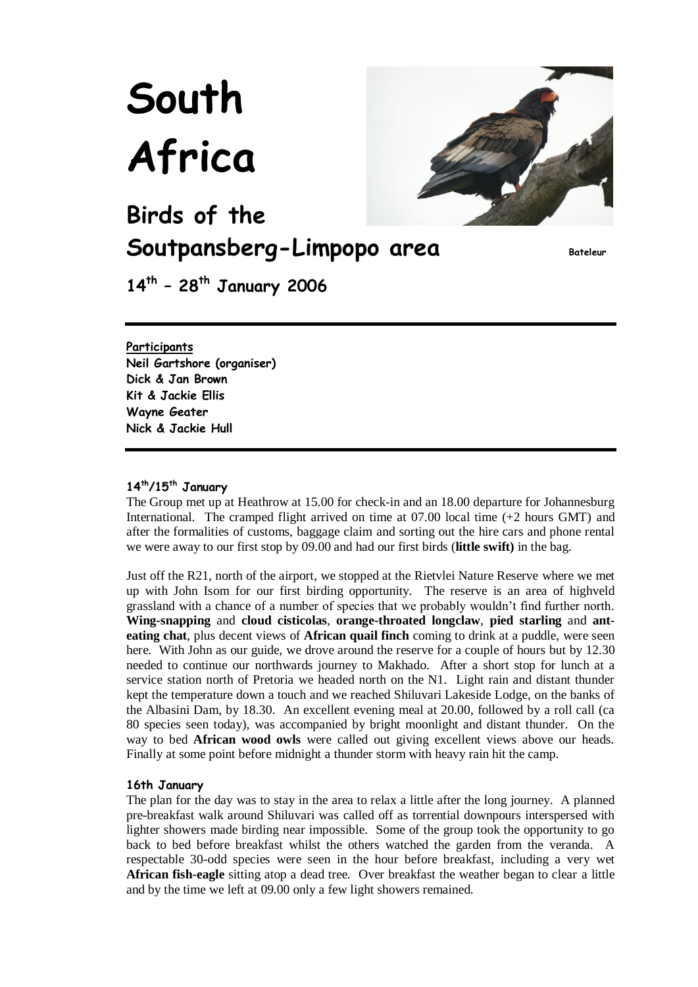# **South Africa**



**Birds of the Soutpansberg-Limpopo area Bateleur**

**14th – 28th January 2006** 

# **Participants**

**Neil Gartshore (organiser) Dick & Jan Brown Kit & Jackie Ellis Wayne Geater Nick & Jackie Hull**

# **14th/15th January**

The Group met up at Heathrow at 15.00 for check-in and an 18.00 departure for Johannesburg International. The cramped flight arrived on time at 07.00 local time (+2 hours GMT) and after the formalities of customs, baggage claim and sorting out the hire cars and phone rental we were away to our first stop by 09.00 and had our first birds (**little swift)** in the bag.

Just off the R21, north of the airport, we stopped at the Rietvlei Nature Reserve where we met up with John Isom for our first birding opportunity. The reserve is an area of highveld grassland with a chance of a number of species that we probably wouldn't find further north. **Wing-snapping** and **cloud cisticolas**, **orange-throated longclaw**, **pied starling** and **anteating chat**, plus decent views of **African quail finch** coming to drink at a puddle, were seen here. With John as our guide, we drove around the reserve for a couple of hours but by 12.30 needed to continue our northwards journey to Makhado. After a short stop for lunch at a service station north of Pretoria we headed north on the N1. Light rain and distant thunder kept the temperature down a touch and we reached Shiluvari Lakeside Lodge, on the banks of the Albasini Dam, by 18.30. An excellent evening meal at 20.00, followed by a roll call (ca 80 species seen today), was accompanied by bright moonlight and distant thunder. On the way to bed **African wood owls** were called out giving excellent views above our heads. Finally at some point before midnight a thunder storm with heavy rain hit the camp.

# **16th January**

The plan for the day was to stay in the area to relax a little after the long journey. A planned pre-breakfast walk around Shiluvari was called off as torrential downpours interspersed with lighter showers made birding near impossible. Some of the group took the opportunity to go back to bed before breakfast whilst the others watched the garden from the veranda. A respectable 30-odd species were seen in the hour before breakfast, including a very wet **African fish-eagle** sitting atop a dead tree. Over breakfast the weather began to clear a little and by the time we left at 09.00 only a few light showers remained.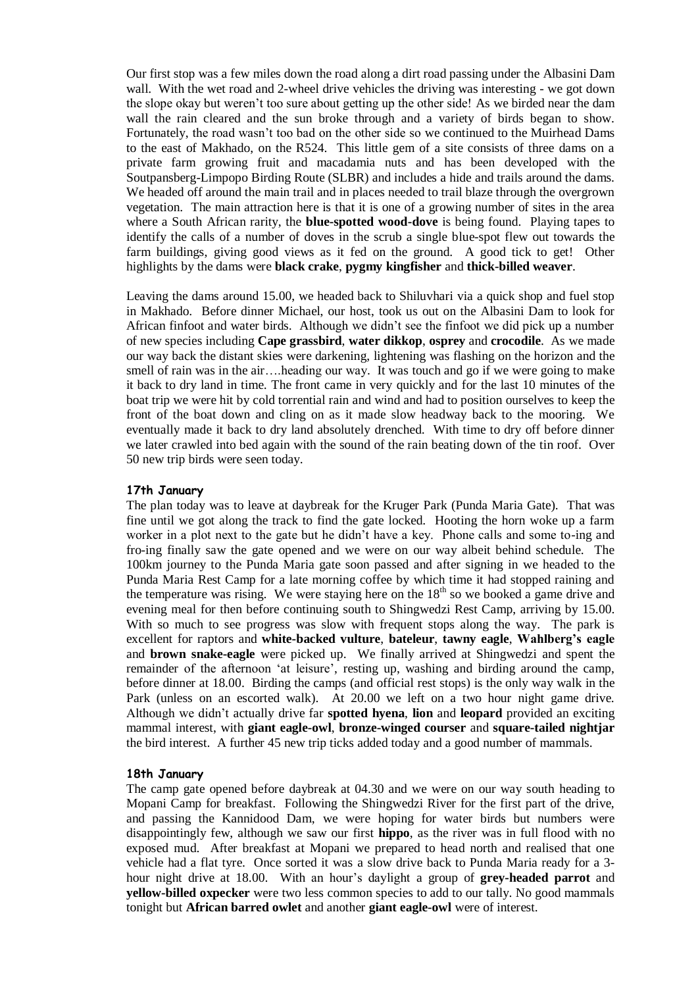Our first stop was a few miles down the road along a dirt road passing under the Albasini Dam wall. With the wet road and 2-wheel drive vehicles the driving was interesting - we got down the slope okay but weren't too sure about getting up the other side! As we birded near the dam wall the rain cleared and the sun broke through and a variety of birds began to show. Fortunately, the road wasn't too bad on the other side so we continued to the Muirhead Dams to the east of Makhado, on the R524. This little gem of a site consists of three dams on a private farm growing fruit and macadamia nuts and has been developed with the Soutpansberg-Limpopo Birding Route (SLBR) and includes a hide and trails around the dams. We headed off around the main trail and in places needed to trail blaze through the overgrown vegetation. The main attraction here is that it is one of a growing number of sites in the area where a South African rarity, the **blue-spotted wood-dove** is being found. Playing tapes to identify the calls of a number of doves in the scrub a single blue-spot flew out towards the farm buildings, giving good views as it fed on the ground. A good tick to get! Other highlights by the dams were **black crake**, **pygmy kingfisher** and **thick-billed weaver**.

Leaving the dams around 15.00, we headed back to Shiluvhari via a quick shop and fuel stop in Makhado. Before dinner Michael, our host, took us out on the Albasini Dam to look for African finfoot and water birds. Although we didn't see the finfoot we did pick up a number of new species including **Cape grassbird**, **water dikkop**, **osprey** and **crocodile**. As we made our way back the distant skies were darkening, lightening was flashing on the horizon and the smell of rain was in the air….heading our way. It was touch and go if we were going to make it back to dry land in time. The front came in very quickly and for the last 10 minutes of the boat trip we were hit by cold torrential rain and wind and had to position ourselves to keep the front of the boat down and cling on as it made slow headway back to the mooring. We eventually made it back to dry land absolutely drenched. With time to dry off before dinner we later crawled into bed again with the sound of the rain beating down of the tin roof. Over 50 new trip birds were seen today.

# **17th January**

The plan today was to leave at daybreak for the Kruger Park (Punda Maria Gate). That was fine until we got along the track to find the gate locked. Hooting the horn woke up a farm worker in a plot next to the gate but he didn't have a key. Phone calls and some to-ing and fro-ing finally saw the gate opened and we were on our way albeit behind schedule. The 100km journey to the Punda Maria gate soon passed and after signing in we headed to the Punda Maria Rest Camp for a late morning coffee by which time it had stopped raining and the temperature was rising. We were staying here on the  $18<sup>th</sup>$  so we booked a game drive and evening meal for then before continuing south to Shingwedzi Rest Camp, arriving by 15.00. With so much to see progress was slow with frequent stops along the way. The park is excellent for raptors and **white-backed vulture**, **bateleur**, **tawny eagle**, **Wahlberg's eagle** and **brown snake-eagle** were picked up. We finally arrived at Shingwedzi and spent the remainder of the afternoon 'at leisure', resting up, washing and birding around the camp, before dinner at 18.00. Birding the camps (and official rest stops) is the only way walk in the Park (unless on an escorted walk). At 20.00 we left on a two hour night game drive. Although we didn't actually drive far **spotted hyena**, **lion** and **leopard** provided an exciting mammal interest, with **giant eagle-owl**, **bronze-winged courser** and **square-tailed nightjar** the bird interest. A further 45 new trip ticks added today and a good number of mammals.

# **18th January**

The camp gate opened before daybreak at 04.30 and we were on our way south heading to Mopani Camp for breakfast. Following the Shingwedzi River for the first part of the drive, and passing the Kannidood Dam, we were hoping for water birds but numbers were disappointingly few, although we saw our first **hippo**, as the river was in full flood with no exposed mud. After breakfast at Mopani we prepared to head north and realised that one vehicle had a flat tyre. Once sorted it was a slow drive back to Punda Maria ready for a 3 hour night drive at 18.00. With an hour's daylight a group of **grey-headed parrot** and **yellow-billed oxpecker** were two less common species to add to our tally. No good mammals tonight but **African barred owlet** and another **giant eagle-owl** were of interest.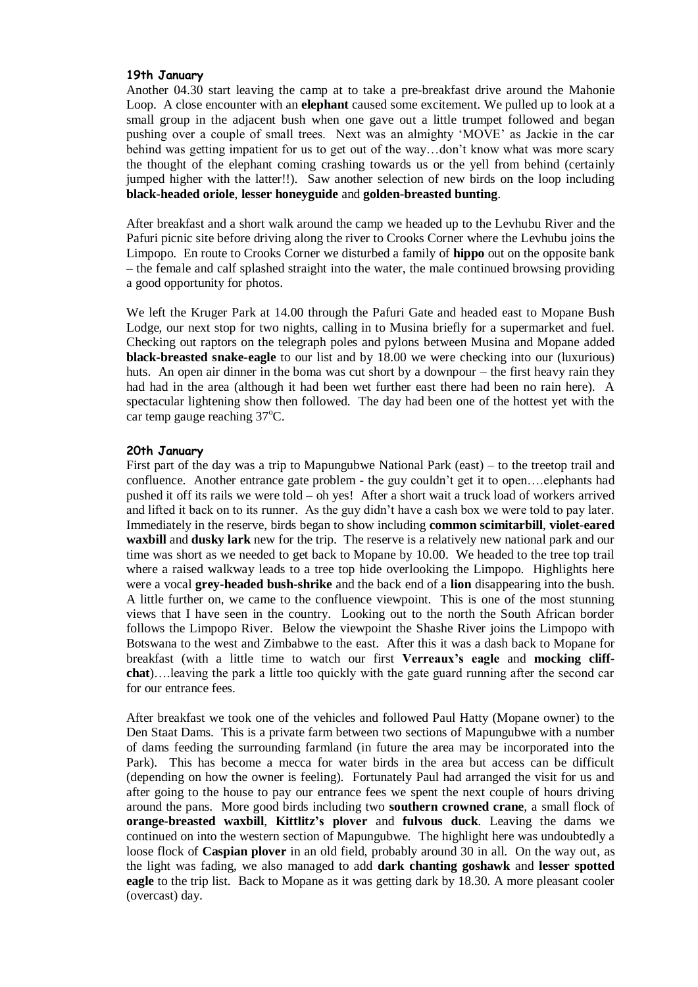#### **19th January**

Another 04.30 start leaving the camp at to take a pre-breakfast drive around the Mahonie Loop. A close encounter with an **elephant** caused some excitement. We pulled up to look at a small group in the adjacent bush when one gave out a little trumpet followed and began pushing over a couple of small trees. Next was an almighty 'MOVE' as Jackie in the car behind was getting impatient for us to get out of the way…don't know what was more scary the thought of the elephant coming crashing towards us or the yell from behind (certainly jumped higher with the latter!!). Saw another selection of new birds on the loop including **black-headed oriole**, **lesser honeyguide** and **golden-breasted bunting**.

After breakfast and a short walk around the camp we headed up to the Levhubu River and the Pafuri picnic site before driving along the river to Crooks Corner where the Levhubu joins the Limpopo. En route to Crooks Corner we disturbed a family of **hippo** out on the opposite bank – the female and calf splashed straight into the water, the male continued browsing providing a good opportunity for photos.

We left the Kruger Park at 14.00 through the Pafuri Gate and headed east to Mopane Bush Lodge, our next stop for two nights, calling in to Musina briefly for a supermarket and fuel. Checking out raptors on the telegraph poles and pylons between Musina and Mopane added **black-breasted snake-eagle** to our list and by 18.00 we were checking into our (luxurious) huts. An open air dinner in the boma was cut short by a downpour – the first heavy rain they had had in the area (although it had been wet further east there had been no rain here). A spectacular lightening show then followed. The day had been one of the hottest yet with the car temp gauge reaching  $37^{\circ}$ C.

#### **20th January**

First part of the day was a trip to Mapungubwe National Park (east) – to the treetop trail and confluence. Another entrance gate problem - the guy couldn't get it to open….elephants had pushed it off its rails we were told – oh yes! After a short wait a truck load of workers arrived and lifted it back on to its runner. As the guy didn't have a cash box we were told to pay later. Immediately in the reserve, birds began to show including **common scimitarbill**, **violet-eared waxbill** and **dusky lark** new for the trip. The reserve is a relatively new national park and our time was short as we needed to get back to Mopane by 10.00. We headed to the tree top trail where a raised walkway leads to a tree top hide overlooking the Limpopo. Highlights here were a vocal **grey-headed bush-shrike** and the back end of a **lion** disappearing into the bush. A little further on, we came to the confluence viewpoint. This is one of the most stunning views that I have seen in the country. Looking out to the north the South African border follows the Limpopo River. Below the viewpoint the Shashe River joins the Limpopo with Botswana to the west and Zimbabwe to the east. After this it was a dash back to Mopane for breakfast (with a little time to watch our first **Verreaux's eagle** and **mocking cliffchat**)….leaving the park a little too quickly with the gate guard running after the second car for our entrance fees.

After breakfast we took one of the vehicles and followed Paul Hatty (Mopane owner) to the Den Staat Dams. This is a private farm between two sections of Mapungubwe with a number of dams feeding the surrounding farmland (in future the area may be incorporated into the Park). This has become a mecca for water birds in the area but access can be difficult (depending on how the owner is feeling). Fortunately Paul had arranged the visit for us and after going to the house to pay our entrance fees we spent the next couple of hours driving around the pans. More good birds including two **southern crowned crane**, a small flock of **orange-breasted waxbill**, **Kittlitz's plover** and **fulvous duck**. Leaving the dams we continued on into the western section of Mapungubwe. The highlight here was undoubtedly a loose flock of **Caspian plover** in an old field, probably around 30 in all. On the way out, as the light was fading, we also managed to add **dark chanting goshawk** and **lesser spotted eagle** to the trip list. Back to Mopane as it was getting dark by 18.30. A more pleasant cooler (overcast) day.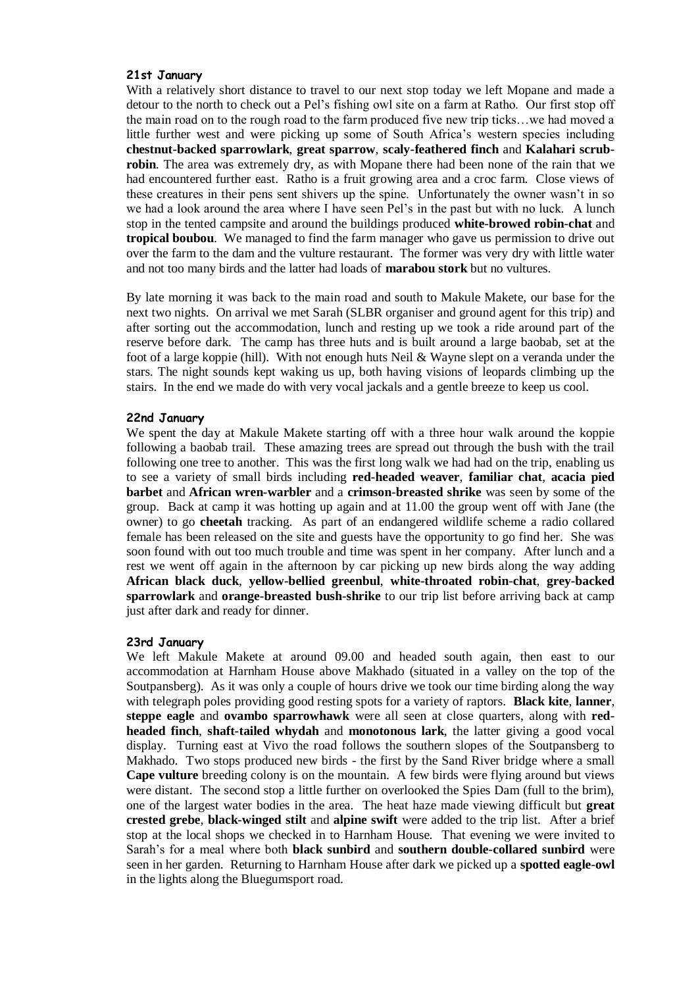#### **21st January**

With a relatively short distance to travel to our next stop today we left Mopane and made a detour to the north to check out a Pel's fishing owl site on a farm at Ratho. Our first stop off the main road on to the rough road to the farm produced five new trip ticks…we had moved a little further west and were picking up some of South Africa's western species including **chestnut-backed sparrowlark**, **great sparrow**, **scaly-feathered finch** and **Kalahari scrubrobin**. The area was extremely dry, as with Mopane there had been none of the rain that we had encountered further east. Ratho is a fruit growing area and a croc farm. Close views of these creatures in their pens sent shivers up the spine. Unfortunately the owner wasn't in so we had a look around the area where I have seen Pel's in the past but with no luck. A lunch stop in the tented campsite and around the buildings produced **white-browed robin-chat** and **tropical boubou**. We managed to find the farm manager who gave us permission to drive out over the farm to the dam and the vulture restaurant. The former was very dry with little water and not too many birds and the latter had loads of **marabou stork** but no vultures.

By late morning it was back to the main road and south to Makule Makete, our base for the next two nights. On arrival we met Sarah (SLBR organiser and ground agent for this trip) and after sorting out the accommodation, lunch and resting up we took a ride around part of the reserve before dark. The camp has three huts and is built around a large baobab, set at the foot of a large koppie (hill). With not enough huts Neil & Wayne slept on a veranda under the stars. The night sounds kept waking us up, both having visions of leopards climbing up the stairs. In the end we made do with very vocal jackals and a gentle breeze to keep us cool.

# **22nd January**

We spent the day at Makule Makete starting off with a three hour walk around the koppie following a baobab trail. These amazing trees are spread out through the bush with the trail following one tree to another. This was the first long walk we had had on the trip, enabling us to see a variety of small birds including **red-headed weaver**, **familiar chat**, **acacia pied barbet** and **African wren-warbler** and a **crimson-breasted shrike** was seen by some of the group. Back at camp it was hotting up again and at 11.00 the group went off with Jane (the owner) to go **cheetah** tracking. As part of an endangered wildlife scheme a radio collared female has been released on the site and guests have the opportunity to go find her. She was soon found with out too much trouble and time was spent in her company. After lunch and a rest we went off again in the afternoon by car picking up new birds along the way adding **African black duck**, **yellow-bellied greenbul**, **white-throated robin-chat**, **grey-backed sparrowlark** and **orange-breasted bush-shrike** to our trip list before arriving back at camp just after dark and ready for dinner.

# **23rd January**

We left Makule Makete at around 09.00 and headed south again, then east to our accommodation at Harnham House above Makhado (situated in a valley on the top of the Soutpansberg). As it was only a couple of hours drive we took our time birding along the way with telegraph poles providing good resting spots for a variety of raptors. **Black kite**, **lanner**, **steppe eagle** and **ovambo sparrowhawk** were all seen at close quarters, along with **redheaded finch**, **shaft-tailed whydah** and **monotonous lark**, the latter giving a good vocal display. Turning east at Vivo the road follows the southern slopes of the Soutpansberg to Makhado. Two stops produced new birds - the first by the Sand River bridge where a small **Cape vulture** breeding colony is on the mountain. A few birds were flying around but views were distant. The second stop a little further on overlooked the Spies Dam (full to the brim), one of the largest water bodies in the area. The heat haze made viewing difficult but **great crested grebe**, **black-winged stilt** and **alpine swift** were added to the trip list. After a brief stop at the local shops we checked in to Harnham House. That evening we were invited to Sarah's for a meal where both **black sunbird** and **southern double-collared sunbird** were seen in her garden. Returning to Harnham House after dark we picked up a **spotted eagle-owl** in the lights along the Bluegumsport road.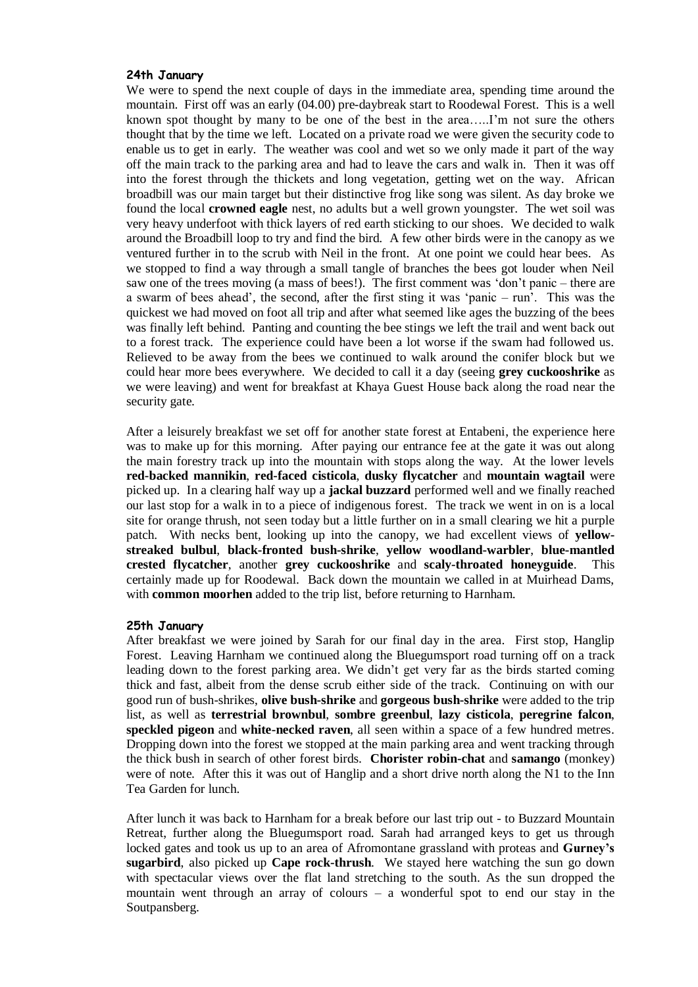#### **24th January**

We were to spend the next couple of days in the immediate area, spending time around the mountain. First off was an early (04.00) pre-daybreak start to Roodewal Forest. This is a well known spot thought by many to be one of the best in the area…..I'm not sure the others thought that by the time we left. Located on a private road we were given the security code to enable us to get in early. The weather was cool and wet so we only made it part of the way off the main track to the parking area and had to leave the cars and walk in. Then it was off into the forest through the thickets and long vegetation, getting wet on the way. African broadbill was our main target but their distinctive frog like song was silent. As day broke we found the local **crowned eagle** nest, no adults but a well grown youngster. The wet soil was very heavy underfoot with thick layers of red earth sticking to our shoes. We decided to walk around the Broadbill loop to try and find the bird. A few other birds were in the canopy as we ventured further in to the scrub with Neil in the front. At one point we could hear bees. As we stopped to find a way through a small tangle of branches the bees got louder when Neil saw one of the trees moving (a mass of bees!). The first comment was 'don't panic – there are a swarm of bees ahead', the second, after the first sting it was 'panic – run'. This was the quickest we had moved on foot all trip and after what seemed like ages the buzzing of the bees was finally left behind. Panting and counting the bee stings we left the trail and went back out to a forest track. The experience could have been a lot worse if the swam had followed us. Relieved to be away from the bees we continued to walk around the conifer block but we could hear more bees everywhere. We decided to call it a day (seeing **grey cuckooshrike** as we were leaving) and went for breakfast at Khaya Guest House back along the road near the security gate.

After a leisurely breakfast we set off for another state forest at Entabeni, the experience here was to make up for this morning. After paying our entrance fee at the gate it was out along the main forestry track up into the mountain with stops along the way. At the lower levels **red-backed mannikin**, **red-faced cisticola**, **dusky flycatcher** and **mountain wagtail** were picked up. In a clearing half way up a **jackal buzzard** performed well and we finally reached our last stop for a walk in to a piece of indigenous forest. The track we went in on is a local site for orange thrush, not seen today but a little further on in a small clearing we hit a purple patch. With necks bent, looking up into the canopy, we had excellent views of **yellowstreaked bulbul**, **black-fronted bush-shrike**, **yellow woodland-warbler**, **blue-mantled crested flycatcher**, another **grey cuckooshrike** and **scaly-throated honeyguide**. This certainly made up for Roodewal. Back down the mountain we called in at Muirhead Dams, with **common moorhen** added to the trip list, before returning to Harnham.

#### **25th January**

After breakfast we were joined by Sarah for our final day in the area. First stop, Hanglip Forest. Leaving Harnham we continued along the Bluegumsport road turning off on a track leading down to the forest parking area. We didn't get very far as the birds started coming thick and fast, albeit from the dense scrub either side of the track. Continuing on with our good run of bush-shrikes, **olive bush-shrike** and **gorgeous bush-shrike** were added to the trip list, as well as **terrestrial brownbul**, **sombre greenbul**, **lazy cisticola**, **peregrine falcon**, **speckled pigeon** and **white-necked raven**, all seen within a space of a few hundred metres. Dropping down into the forest we stopped at the main parking area and went tracking through the thick bush in search of other forest birds. **Chorister robin-chat** and **samango** (monkey) were of note. After this it was out of Hanglip and a short drive north along the N1 to the Inn Tea Garden for lunch.

After lunch it was back to Harnham for a break before our last trip out - to Buzzard Mountain Retreat, further along the Bluegumsport road. Sarah had arranged keys to get us through locked gates and took us up to an area of Afromontane grassland with proteas and **Gurney's sugarbird**, also picked up **Cape rock-thrush**. We stayed here watching the sun go down with spectacular views over the flat land stretching to the south. As the sun dropped the mountain went through an array of colours – a wonderful spot to end our stay in the Soutpansberg.